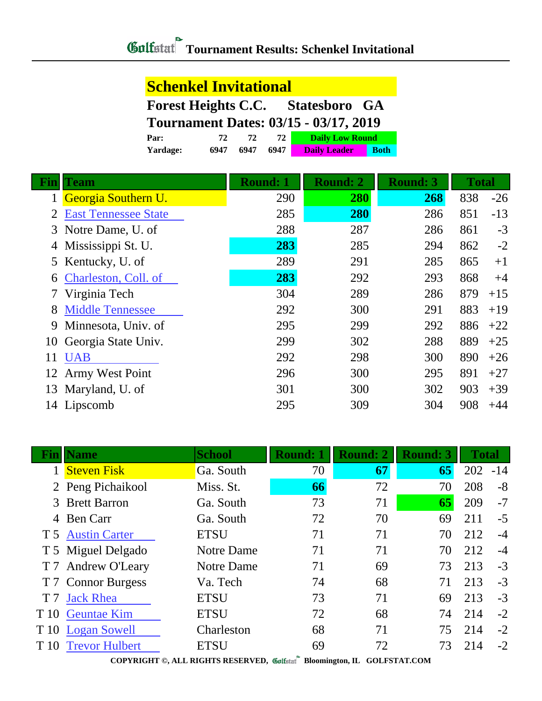## **Schenkel Invitational**

**Forest Heights C.C. Statesboro GA**

**Tournament Dates: 03/15 - 03/17, 2019**

| Par:     |      |      |      | <b>Daily Low Round</b> |             |  |
|----------|------|------|------|------------------------|-------------|--|
| Yardage: | 6947 | 6947 | 6947 | <b>Daily Leader</b>    | <b>Both</b> |  |

| Fin | Team                        | <b>Round: 1</b> | <b>Round: 2</b> | <b>Round: 3</b> | <b>Total</b> |       |
|-----|-----------------------------|-----------------|-----------------|-----------------|--------------|-------|
|     | Georgia Southern U.         | 290             | 280             | 268             | 838          | $-26$ |
|     | <b>East Tennessee State</b> | 285             | <b>280</b>      | 286             | 851          | $-13$ |
|     | 3 Notre Dame, U. of         | 288             | 287             | 286             | 861          | $-3$  |
|     | Mississippi St. U.          | 283             | 285             | 294             | 862          | $-2$  |
|     | 5 Kentucky, U. of           | 289             | 291             | 285             | 865          | $+1$  |
| 6   | Charleston, Coll. of        | 283             | 292             | 293             | 868          | $+4$  |
|     | Virginia Tech               | 304             | 289             | 286             | 879          | $+15$ |
| 8   | <b>Middle Tennessee</b>     | 292             | 300             | 291             | 883          | $+19$ |
| 9   | Minnesota, Univ. of         | 295             | 299             | 292             | 886          | $+22$ |
| 10  | Georgia State Univ.         | 299             | 302             | 288             | 889          | $+25$ |
| 11  | <b>UAB</b>                  | 292             | 298             | 300             | 890          | $+26$ |
| 12  | <b>Army West Point</b>      | 296             | 300             | 295             | 891          | $+27$ |
| 13  | Maryland, U. of             | 301             | 300             | 302             | 903          | $+39$ |
|     | 14 Lipscomb                 | 295             | 309             | 304             | 908          | $+44$ |

| Fin            | <b>Name</b>           | <b>School</b> | <b>Round: 1</b> | <b>Round: 2</b> | <b>Round: 3</b> | <b>Total</b> |       |
|----------------|-----------------------|---------------|-----------------|-----------------|-----------------|--------------|-------|
|                | 1 Steven Fisk         | Ga. South     | 70              | 67              | 65              | 202          | $-14$ |
|                | 2 Peng Pichaikool     | Miss. St.     | 66              | 72              | 70              | 208          | $-8$  |
|                | 3 Brett Barron        | Ga. South     | 73              | 71              | 65              | 209          | $-7$  |
|                | 4 Ben Carr            | Ga. South     | 72              | 70              | 69              | 211          | $-5$  |
|                | T 5 Austin Carter     | <b>ETSU</b>   | 71              | 71              | 70              | 212          | $-4$  |
|                | T 5 Miguel Delgado    | Notre Dame    | 71              | 71              | 70              | 212          | $-4$  |
|                | T 7 Andrew O'Leary    | Notre Dame    | 71              | 69              | 73              | 213          | $-3$  |
|                | T 7 Connor Burgess    | Va. Tech      | 74              | 68              | 71              | 213          | $-3$  |
| T <sub>7</sub> | <b>Jack Rhea</b>      | <b>ETSU</b>   | 73              | 71              | 69              | 213          | $-3$  |
| T 10           | <b>Geuntae Kim</b>    | <b>ETSU</b>   | 72              | 68              | 74              | 214          | $-2$  |
|                | T 10 Logan Sowell     | Charleston    | 68              | 71              | 75              | 214          | $-2$  |
| T 10           | <b>Trevor Hulbert</b> | <b>ETSU</b>   | 69              | 72              | 73              | 214          | $-2$  |
|                |                       |               |                 |                 |                 |              |       |

**COPYRIGHT ©, ALL RIGHTS RESERVED, Bloomington, IL GOLFSTAT.COM**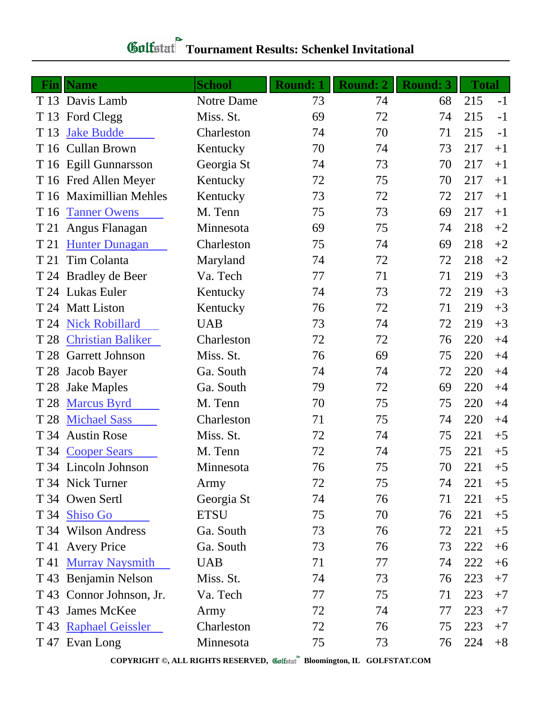## **Tournament Results: Schenkel Invitational**

| <b>Fin</b> | <b>Name</b>              | <b>School</b> | <b>Round: 1</b> | <b>Round: 2</b> | <b>Round: 3</b> | <b>Total</b> |      |
|------------|--------------------------|---------------|-----------------|-----------------|-----------------|--------------|------|
|            | T 13 Davis Lamb          | Notre Dame    | 73              | 74              | 68              | 215          | $-1$ |
| T 13       | Ford Clegg               | Miss. St.     | 69              | 72              | 74              | 215          | $-1$ |
| T 13       | <b>Jake Budde</b>        | Charleston    | 74              | 70              | 71              | 215          | $-1$ |
| T 16       | <b>Cullan Brown</b>      | Kentucky      | 70              | 74              | 73              | 217          | $+1$ |
|            | T 16 Egill Gunnarsson    | Georgia St    | 74              | 73              | 70              | 217          | $+1$ |
|            | T 16 Fred Allen Meyer    | Kentucky      | 72              | 75              | 70              | 217          | $+1$ |
|            | T 16 Maximillian Mehles  | Kentucky      | 73              | 72              | 72              | 217          | $+1$ |
| T 16       | <b>Tanner Owens</b>      | M. Tenn       | 75              | 73              | 69              | 217          | $+1$ |
| T 21       | Angus Flanagan           | Minnesota     | 69              | 75              | 74              | 218          | $+2$ |
| T 21       | <b>Hunter Dunagan</b>    | Charleston    | 75              | 74              | 69              | 218          | $+2$ |
| T 21       | Tim Colanta              | Maryland      | 74              | 72              | 72              | 218          | $+2$ |
|            | T 24 Bradley de Beer     | Va. Tech      | 77              | 71              | 71              | 219          | $+3$ |
|            | T 24 Lukas Euler         | Kentucky      | 74              | 73              | 72              | 219          | $+3$ |
| T 24       | <b>Matt Liston</b>       | Kentucky      | 76              | 72              | 71              | 219          | $+3$ |
| T 24       | <b>Nick Robillard</b>    | <b>UAB</b>    | 73              | 74              | 72              | 219          | $+3$ |
| T 28       | <b>Christian Baliker</b> | Charleston    | 72              | 72              | 76              | 220          | $+4$ |
| T 28       | <b>Garrett Johnson</b>   | Miss. St.     | 76              | 69              | 75              | 220          | $+4$ |
| T 28       | Jacob Bayer              | Ga. South     | 74              | 74              | 72              | 220          | $+4$ |
| T 28       | <b>Jake Maples</b>       | Ga. South     | 79              | 72              | 69              | 220          | $+4$ |
| T 28       | <b>Marcus Byrd</b>       | M. Tenn       | 70              | 75              | 75              | 220          | $+4$ |
| T 28       | <b>Michael Sass</b>      | Charleston    | 71              | 75              | 74              | 220          | $+4$ |
| T 34       | <b>Austin Rose</b>       | Miss. St.     | 72              | 74              | 75              | 221          | $+5$ |
|            | T 34 Cooper Sears        | M. Tenn       | 72              | 74              | 75              | 221          | $+5$ |
|            | T 34 Lincoln Johnson     | Minnesota     | 76              | 75              | 70              | 221          | $+5$ |
|            | T 34 Nick Turner         | Army          | 72              | 75              | 74              | 221          | $+5$ |
|            | T 34 Owen Sertl          | Georgia St    | 74              | 76              | 71              | 221          | $+5$ |
|            | T 34 Shiso Go            | <b>ETSU</b>   | 75              | 70              | 76              | 221          | $+5$ |
|            | T 34 Wilson Andress      | Ga. South     | 73              | 76              | 72              | 221          | $+5$ |
|            | T 41 Avery Price         | Ga. South     | 73              | 76              | 73              | 222          | $+6$ |
| T 41       | <b>Murray Naysmith</b>   | <b>UAB</b>    | 71              | 77              | 74              | 222          | $+6$ |
|            | T 43 Benjamin Nelson     | Miss. St.     | 74              | 73              | 76              | 223          | $+7$ |
|            | T 43 Connor Johnson, Jr. | Va. Tech      | 77              | 75              | 71              | 223          | $+7$ |
| T 43       | James McKee              | Army          | 72              | 74              | 77              | 223          | $+7$ |
|            | T 43 Raphael Geissler    | Charleston    | 72              | 76              | 75              | 223          | $+7$ |
|            | T 47 Evan Long           | Minnesota     | 75              | 73              | 76              | 224          | $+8$ |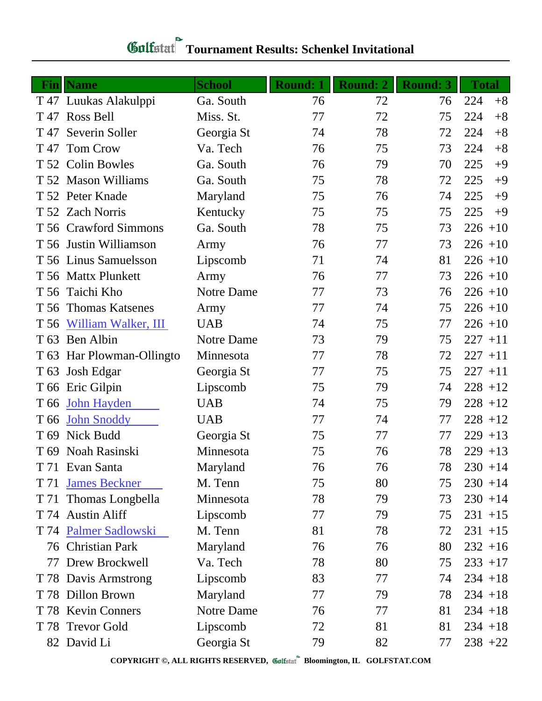| Fin  | <b>Name</b>               | <b>School</b> | <b>Round: 1</b> | <b>Round: 2</b> | <b>Round: 3</b> | <b>Total</b> |
|------|---------------------------|---------------|-----------------|-----------------|-----------------|--------------|
|      | T 47 Luukas Alakulppi     | Ga. South     | 76              | 72              | 76              | 224<br>$+8$  |
|      | T 47 Ross Bell            | Miss. St.     | 77              | 72              | 75              | 224<br>$+8$  |
| T 47 | Severin Soller            | Georgia St    | 74              | 78              | 72              | $+8$<br>224  |
| T 47 | <b>Tom Crow</b>           | Va. Tech      | 76              | 75              | 73              | 224<br>$+8$  |
|      | T 52 Colin Bowles         | Ga. South     | 76              | 79              | 70              | 225<br>$+9$  |
|      | T 52 Mason Williams       | Ga. South     | 75              | 78              | 72              | 225<br>$+9$  |
|      | T 52 Peter Knade          | Maryland      | 75              | 76              | 74              | 225<br>$+9$  |
|      | T 52 Zach Norris          | Kentucky      | 75              | 75              | 75              | 225<br>$+9$  |
|      | T 56 Crawford Simmons     | Ga. South     | 78              | 75              | 73              | $226 + 10$   |
|      | T 56 Justin Williamson    | Army          | 76              | 77              | 73              | $226 + 10$   |
|      | T 56 Linus Samuelsson     | Lipscomb      | 71              | 74              | 81              | $226 + 10$   |
|      | T 56 Mattx Plunkett       | Army          | 76              | 77              | 73              | $226 + 10$   |
|      | T 56 Taichi Kho           | Notre Dame    | 77              | 73              | 76              | $226 + 10$   |
|      | T 56 Thomas Katsenes      | Army          | 77              | 74              | 75              | $226 + 10$   |
|      | T 56 William Walker, III  | <b>UAB</b>    | 74              | 75              | 77              | $226 + 10$   |
|      | T 63 Ben Albin            | Notre Dame    | 73              | 79              | 75              | $227 + 11$   |
|      | T 63 Har Plowman-Ollingto | Minnesota     | 77              | 78              | 72              | $227 + 11$   |
|      | T 63 Josh Edgar           | Georgia St    | 77              | 75              | 75              | $227 + 11$   |
|      | T 66 Eric Gilpin          | Lipscomb      | 75              | 79              | 74              | $228 + 12$   |
| T 66 | <b>John Hayden</b>        | <b>UAB</b>    | 74              | 75              | 79              | $228 + 12$   |
|      | T 66 John Snoddy          | <b>UAB</b>    | 77              | 74              | 77              | $228 + 12$   |
|      | T 69 Nick Budd            | Georgia St    | 75              | 77              | 77              | $229 + 13$   |
|      | T 69 Noah Rasinski        | Minnesota     | 75              | 76              | 78              | $229 + 13$   |
|      | T 71 Evan Santa           | Maryland      | 76              | 76              | 78              | $230 + 14$   |
| T 71 | <b>James Beckner</b>      | M. Tenn       | 75              | 80              | 75              | $230 + 14$   |
|      | T 71 Thomas Longbella     | Minnesota     | 78              | 79              | 73              | $230 + 14$   |
|      | T 74 Austin Aliff         | Lipscomb      | 77              | 79              | 75              | $231 + 15$   |
|      | T 74 Palmer Sadlowski     | M. Tenn       | 81              | 78              | 72              | $231 + 15$   |
|      | 76 Christian Park         | Maryland      | 76              | 76              | 80              | $232 + 16$   |
|      | 77 Drew Brockwell         | Va. Tech      | 78              | 80              | 75              | $233 + 17$   |
|      | T 78 Davis Armstrong      | Lipscomb      | 83              | 77              | 74              | $234 + 18$   |
|      | T 78 Dillon Brown         | Maryland      | 77              | 79              | 78              | $234 + 18$   |
|      | T 78 Kevin Conners        | Notre Dame    | 76              | 77              | 81              | $234 + 18$   |
|      | T 78 Trevor Gold          | Lipscomb      | 72              | 81              | 81              | $234 + 18$   |
|      | 82 David Li               | Georgia St    | 79              | 82              | 77              | $238 + 22$   |

## **Tournament Results: Schenkel Invitational**

**COPYRIGHT ©, ALL RIGHTS RESERVED, Bloomington, IL GOLFSTAT.COM**